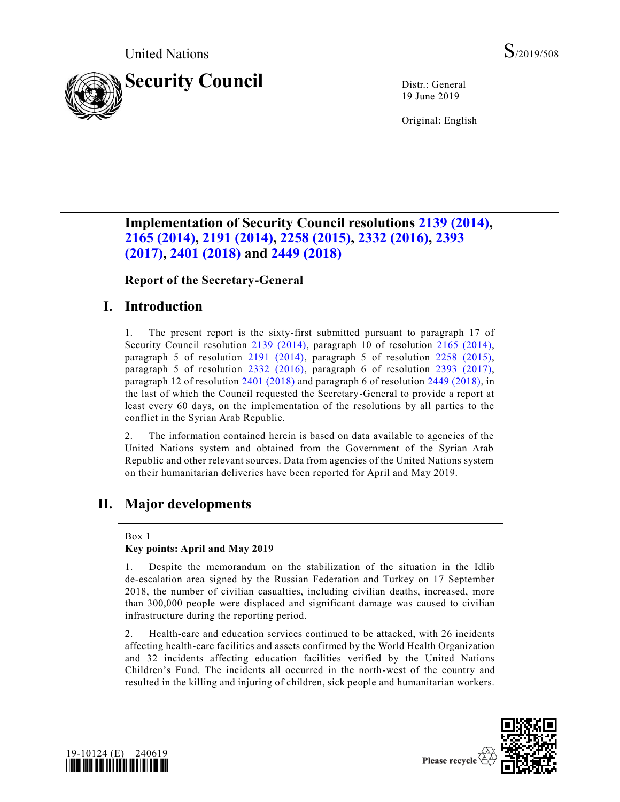

19 June 2019

Original: English

# **Implementation of Security Council resolutions [2139 \(2014\),](https://undocs.org/en/S/RES/2139%20(2014)) [2165 \(2014\),](https://undocs.org/en/S/RES/2165%20(2014)) [2191 \(2014\),](https://undocs.org/en/S/RES/2191%20(2014)) [2258 \(2015\),](https://undocs.org/en/S/RES/2258%20(2015)) [2332 \(2016\),](https://undocs.org/en/S/RES/2332%20(2016)) [2393](https://undocs.org/en/S/RES/2393%20(2017))  [\(2017\),](https://undocs.org/en/S/RES/2393%20(2017)) [2401 \(2018\)](https://undocs.org/en/S/RES/2401%20(2018)) and [2449 \(2018\)](https://undocs.org/en/S/RES/2449%20(2018))**

**Report of the Secretary-General** 

# **I. Introduction**

1. The present report is the sixty-first submitted pursuant to paragraph 17 of Security Council resolution [2139 \(2014\),](https://undocs.org/en/S/RES/2139%20(2014)) paragraph 10 of resolution [2165 \(2014\),](https://undocs.org/en/S/RES/2165%20(2014)) paragraph 5 of resolution [2191 \(2014\),](https://undocs.org/en/S/RES/2191%20(2014)) paragraph 5 of resolution [2258 \(2015\),](https://undocs.org/en/S/RES/2258%20(2015)) paragraph 5 of resolution [2332 \(2016\),](https://undocs.org/en/S/RES/2332%20(2016)) paragraph 6 of resolution [2393 \(2017\),](https://undocs.org/en/S/RES/2393%20(2017)) paragraph 12 of resolution [2401 \(2018\)](https://undocs.org/en/S/RES/2401%20(2018)) and paragraph 6 of resolution [2449 \(2018\),](https://undocs.org/en/S/RES/2449%20(2018)) in the last of which the Council requested the Secretary-General to provide a report at least every 60 days, on the implementation of the resolutions by all parties to the conflict in the Syrian Arab Republic.

2. The information contained herein is based on data available to agencies of the United Nations system and obtained from the Government of the Syrian Arab Republic and other relevant sources. Data from agencies of the United Nations system on their humanitarian deliveries have been reported for April and May 2019.

# **II. Major developments**

Box 1

# **Key points: April and May 2019**

1. Despite the memorandum on the stabilization of the situation in the Idlib de-escalation area signed by the Russian Federation and Turkey on 17 September 2018, the number of civilian casualties, including civilian deaths, increased, more than 300,000 people were displaced and significant damage was caused to civilian infrastructure during the reporting period.

2. Health-care and education services continued to be attacked, with 26 incidents affecting health-care facilities and assets confirmed by the World Health Organization and 32 incidents affecting education facilities verified by the United Nations Children's Fund. The incidents all occurred in the north-west of the country and resulted in the killing and injuring of children, sick people and humanitarian workers.



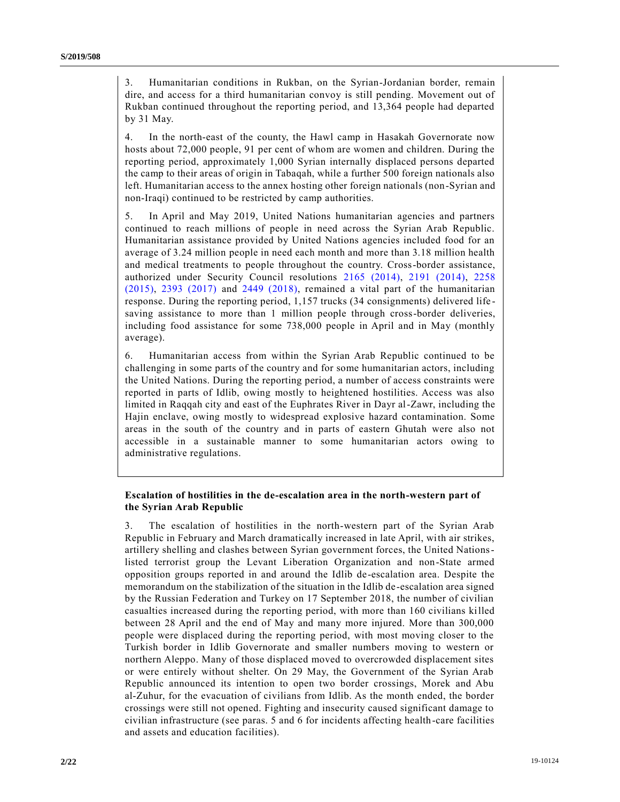3. Humanitarian conditions in Rukban, on the Syrian-Jordanian border, remain dire, and access for a third humanitarian convoy is still pending. Movement out of Rukban continued throughout the reporting period, and 13,364 people had departed by 31 May.

4. In the north-east of the county, the Hawl camp in Hasakah Governorate now hosts about 72,000 people, 91 per cent of whom are women and children. During the reporting period, approximately 1,000 Syrian internally displaced persons departed the camp to their areas of origin in Tabaqah, while a further 500 foreign nationals also left. Humanitarian access to the annex hosting other foreign nationals (non-Syrian and non-Iraqi) continued to be restricted by camp authorities.

5. In April and May 2019, United Nations humanitarian agencies and partners continued to reach millions of people in need across the Syrian Arab Republic. Humanitarian assistance provided by United Nations agencies included food for an average of 3.24 million people in need each month and more than 3.18 million health and medical treatments to people throughout the country. Cross-border assistance, authorized under Security Council resolutions [2165 \(2014\),](https://undocs.org/en/S/RES/2165%20(2014)) [2191 \(2014\),](https://undocs.org/en/S/RES/2191%20(2014)) [2258](https://undocs.org/en/S/RES/2258%20(2015))  [\(2015\),](https://undocs.org/en/S/RES/2258%20(2015)) [2393 \(2017\)](https://undocs.org/en/S/RES/2393%20(2017)) and [2449 \(2018\),](https://undocs.org/en/S/RES/2449%20(2018)) remained a vital part of the humanitarian response. During the reporting period, 1,157 trucks (34 consignments) delivered life saving assistance to more than 1 million people through cross-border deliveries, including food assistance for some 738,000 people in April and in May (monthly average).

6. Humanitarian access from within the Syrian Arab Republic continued to be challenging in some parts of the country and for some humanitarian actors, including the United Nations. During the reporting period, a number of access constraints were reported in parts of Idlib, owing mostly to heightened hostilities. Access was also limited in Raqqah city and east of the Euphrates River in Dayr al-Zawr, including the Hajin enclave, owing mostly to widespread explosive hazard contamination. Some areas in the south of the country and in parts of eastern Ghutah were also not accessible in a sustainable manner to some humanitarian actors owing to administrative regulations.

# **Escalation of hostilities in the de-escalation area in the north-western part of the Syrian Arab Republic**

3. The escalation of hostilities in the north-western part of the Syrian Arab Republic in February and March dramatically increased in late April, with air strikes, artillery shelling and clashes between Syrian government forces, the United Nationslisted terrorist group the Levant Liberation Organization and non-State armed opposition groups reported in and around the Idlib de-escalation area. Despite the memorandum on the stabilization of the situation in the Idlib de-escalation area signed by the Russian Federation and Turkey on 17 September 2018, the number of civilian casualties increased during the reporting period, with more than 160 civilians killed between 28 April and the end of May and many more injured. More than 300,000 people were displaced during the reporting period, with most moving closer to the Turkish border in Idlib Governorate and smaller numbers moving to western or northern Aleppo. Many of those displaced moved to overcrowded displacement sites or were entirely without shelter. On 29 May, the Government of the Syrian Arab Republic announced its intention to open two border crossings, Morek and Abu al-Zuhur, for the evacuation of civilians from Idlib. As the month ended, the border crossings were still not opened. Fighting and insecurity caused significant damage to civilian infrastructure (see paras. 5 and 6 for incidents affecting health-care facilities and assets and education facilities).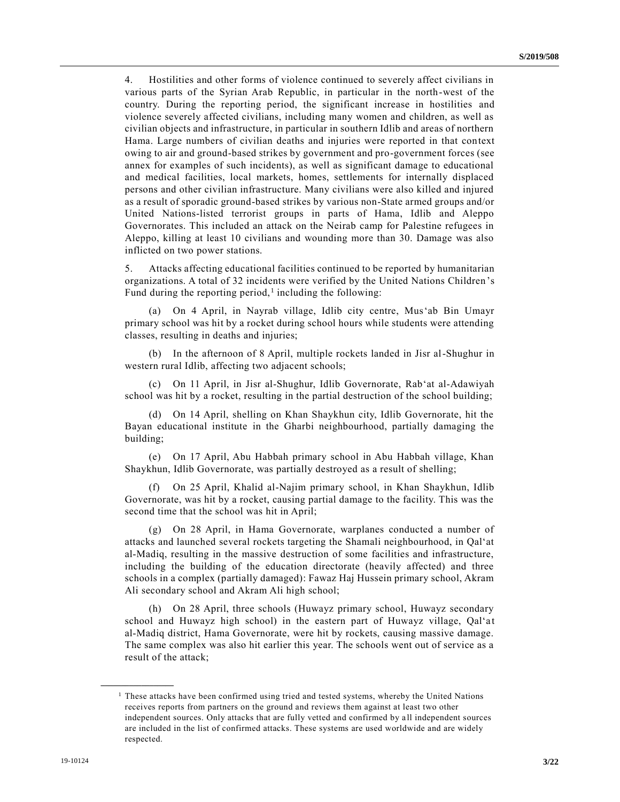4. Hostilities and other forms of violence continued to severely affect civilians in various parts of the Syrian Arab Republic, in particular in the north-west of the country. During the reporting period, the significant increase in hostilities and violence severely affected civilians, including many women and children, as well as civilian objects and infrastructure, in particular in southern Idlib and areas of northern Hama. Large numbers of civilian deaths and injuries were reported in that context owing to air and ground-based strikes by government and pro-government forces (see annex for examples of such incidents), as well as significant damage to educational and medical facilities, local markets, homes, settlements for internally displaced persons and other civilian infrastructure. Many civilians were also killed and injured as a result of sporadic ground-based strikes by various non-State armed groups and/or United Nations-listed terrorist groups in parts of Hama, Idlib and Aleppo Governorates. This included an attack on the Neirab camp for Palestine refugees in Aleppo, killing at least 10 civilians and wounding more than 30. Damage was also inflicted on two power stations.

5. Attacks affecting educational facilities continued to be reported by humanitarian organizations. A total of 32 incidents were verified by the United Nations Children 's Fund during the reporting period,<sup>1</sup> including the following:

(a) On 4 April, in Nayrab village, Idlib city centre, Mus'ab Bin Umayr primary school was hit by a rocket during school hours while students were attending classes, resulting in deaths and injuries;

(b) In the afternoon of 8 April, multiple rockets landed in Jisr al-Shughur in western rural Idlib, affecting two adjacent schools;

(c) On 11 April, in Jisr al-Shughur, Idlib Governorate, Rab'at al-Adawiyah school was hit by a rocket, resulting in the partial destruction of the school building;

(d) On 14 April, shelling on Khan Shaykhun city, Idlib Governorate, hit the Bayan educational institute in the Gharbi neighbourhood, partially damaging the building;

(e) On 17 April, Abu Habbah primary school in Abu Habbah village, Khan Shaykhun, Idlib Governorate, was partially destroyed as a result of shelling;

(f) On 25 April, Khalid al-Najim primary school, in Khan Shaykhun, Idlib Governorate, was hit by a rocket, causing partial damage to the facility. This was the second time that the school was hit in April;

(g) On 28 April, in Hama Governorate, warplanes conducted a number of attacks and launched several rockets targeting the Shamali neighbourhood, in Qalʻat al-Madiq, resulting in the massive destruction of some facilities and infrastructure, including the building of the education directorate (heavily affected) and three schools in a complex (partially damaged): Fawaz Haj Hussein primary school, Akram Ali secondary school and Akram Ali high school;

(h) On 28 April, three schools (Huwayz primary school, Huwayz secondary school and Huwayz high school) in the eastern part of Huwayz village, Qal'at al-Madiq district, Hama Governorate, were hit by rockets, causing massive damage. The same complex was also hit earlier this year. The schools went out of service as a result of the attack;

**\_\_\_\_\_\_\_\_\_\_\_\_\_\_\_\_\_\_**

<sup>&</sup>lt;sup>1</sup> These attacks have been confirmed using tried and tested systems, whereby the United Nations receives reports from partners on the ground and reviews them against at least two other independent sources. Only attacks that are fully vetted and confirmed by all independent sources are included in the list of confirmed attacks. These systems are used worldwide and are widely respected.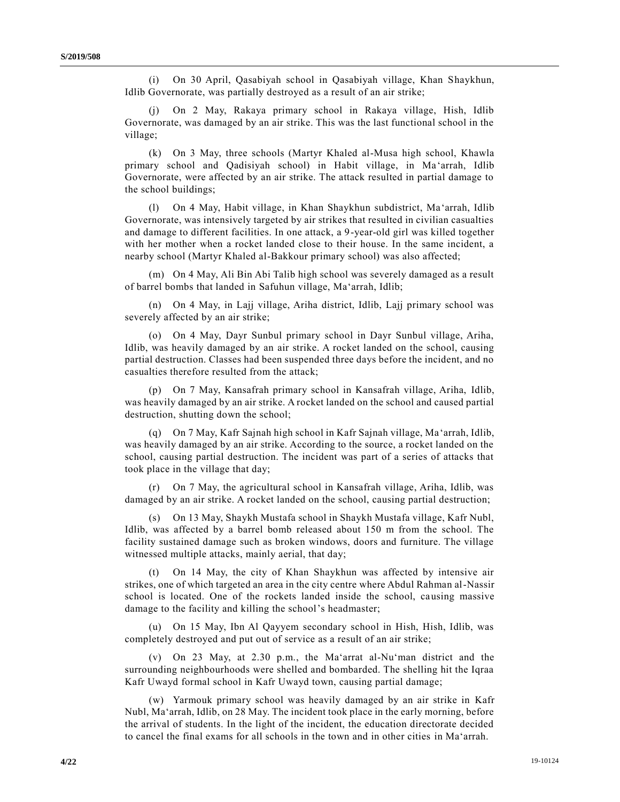(i) On 30 April, Qasabiyah school in Qasabiyah village, Khan Shaykhun, Idlib Governorate, was partially destroyed as a result of an air strike;

On 2 May, Rakaya primary school in Rakaya village, Hish, Idlib Governorate, was damaged by an air strike. This was the last functional school in the village;

(k) On 3 May, three schools (Martyr Khaled al-Musa high school, Khawla primary school and Qadisiyah school) in Habit village, in Ma'arrah, Idlib Governorate, were affected by an air strike. The attack resulted in partial damage to the school buildings;

(l) On 4 May, Habit village, in Khan Shaykhun subdistrict, Ma'arrah, Idlib Governorate, was intensively targeted by air strikes that resulted in civilian casualties and damage to different facilities. In one attack, a 9-year-old girl was killed together with her mother when a rocket landed close to their house. In the same incident, a nearby school (Martyr Khaled al-Bakkour primary school) was also affected;

(m) On 4 May, Ali Bin Abi Talib high school was severely damaged as a result of barrel bombs that landed in Safuhun village, Ma'arrah, Idlib;

(n) On 4 May, in Lajj village, Ariha district, Idlib, Lajj primary school was severely affected by an air strike;

(o) On 4 May, Dayr Sunbul primary school in Dayr Sunbul village, Ariha, Idlib, was heavily damaged by an air strike. A rocket landed on the school, causing partial destruction. Classes had been suspended three days before the incident, and no casualties therefore resulted from the attack;

(p) On 7 May, Kansafrah primary school in Kansafrah village, Ariha, Idlib, was heavily damaged by an air strike. A rocket landed on the school and caused partial destruction, shutting down the school;

(q) On 7 May, Kafr Sajnah high school in Kafr Sajnah village, Ma'arrah, Idlib, was heavily damaged by an air strike. According to the source, a rocket landed on the school, causing partial destruction. The incident was part of a series of attacks that took place in the village that day;

(r) On 7 May, the agricultural school in Kansafrah village, Ariha, Idlib, was damaged by an air strike. A rocket landed on the school, causing partial destruction;

(s) On 13 May, Shaykh Mustafa school in Shaykh Mustafa village, Kafr Nubl, Idlib, was affected by a barrel bomb released about 150 m from the school. The facility sustained damage such as broken windows, doors and furniture. The village witnessed multiple attacks, mainly aerial, that day;

(t) On 14 May, the city of Khan Shaykhun was affected by intensive air strikes, one of which targeted an area in the city centre where Abdul Rahman al-Nassir school is located. One of the rockets landed inside the school, causing massive damage to the facility and killing the school's headmaster;

(u) On 15 May, Ibn Al Qayyem secondary school in Hish, Hish, Idlib, was completely destroyed and put out of service as a result of an air strike;

(v) On 23 May, at 2.30 p.m., the Ma'arrat al-Nu'man district and the surrounding neighbourhoods were shelled and bombarded. The shelling hit the Iqraa Kafr Uwayd formal school in Kafr Uwayd town, causing partial damage;

(w) Yarmouk primary school was heavily damaged by an air strike in Kafr Nubl, Ma'arrah, Idlib, on 28 May. The incident took place in the early morning, before the arrival of students. In the light of the incident, the education directorate decided to cancel the final exams for all schools in the town and in other cities in Ma'arrah.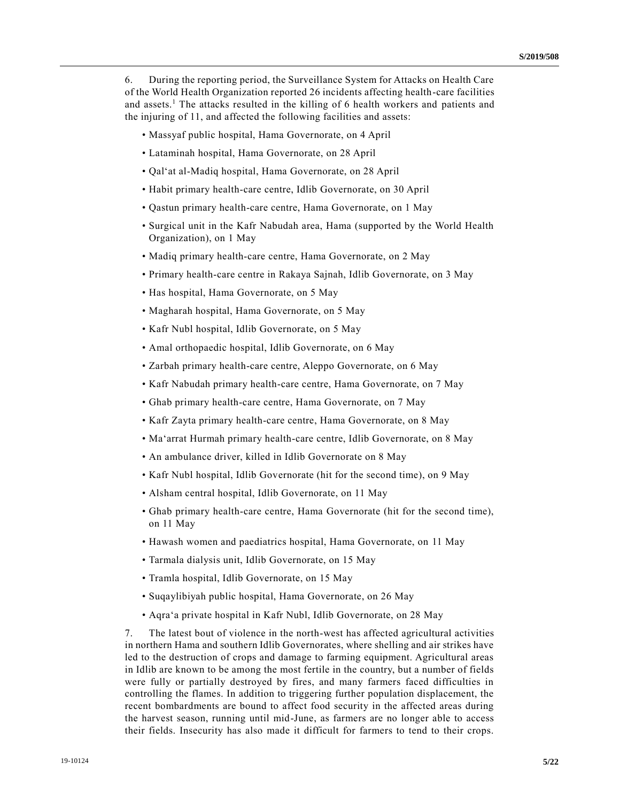6. During the reporting period, the Surveillance System for Attacks on Health Care of the World Health Organization reported 26 incidents affecting health-care facilities and assets.<sup>1</sup> The attacks resulted in the killing of 6 health workers and patients and the injuring of 11, and affected the following facilities and assets:

- Massyaf public hospital, Hama Governorate, on 4 April
- Lataminah hospital, Hama Governorate, on 28 April
- Qalʻat al-Madiq hospital, Hama Governorate, on 28 April
- Habit primary health-care centre, Idlib Governorate, on 30 April
- Qastun primary health-care centre, Hama Governorate, on 1 May
- Surgical unit in the Kafr Nabudah area, Hama (supported by the World Health Organization), on 1 May
- Madiq primary health-care centre, Hama Governorate, on 2 May
- Primary health-care centre in Rakaya Sajnah, Idlib Governorate, on 3 May
- Has hospital, Hama Governorate, on 5 May
- Magharah hospital, Hama Governorate, on 5 May
- Kafr Nubl hospital, Idlib Governorate, on 5 May
- Amal orthopaedic hospital, Idlib Governorate, on 6 May
- Zarbah primary health-care centre, Aleppo Governorate, on 6 May
- Kafr Nabudah primary health-care centre, Hama Governorate, on 7 May
- Ghab primary health-care centre, Hama Governorate, on 7 May
- Kafr Zayta primary health-care centre, Hama Governorate, on 8 May
- Ma'arrat Hurmah primary health-care centre, Idlib Governorate, on 8 May
- An ambulance driver, killed in Idlib Governorate on 8 May
- Kafr Nubl hospital, Idlib Governorate (hit for the second time), on 9 May
- Alsham central hospital, Idlib Governorate, on 11 May
- Ghab primary health-care centre, Hama Governorate (hit for the second time), on 11 May
- Hawash women and paediatrics hospital, Hama Governorate, on 11 May
- Tarmala dialysis unit, Idlib Governorate, on 15 May
- Tramla hospital, Idlib Governorate, on 15 May
- Suqaylibiyah public hospital, Hama Governorate, on 26 May
- Aqra'a private hospital in Kafr Nubl, Idlib Governorate, on 28 May

7. The latest bout of violence in the north-west has affected agricultural activities in northern Hama and southern Idlib Governorates, where shelling and air strikes have led to the destruction of crops and damage to farming equipment. Agricultural areas in Idlib are known to be among the most fertile in the country, but a number of fields were fully or partially destroyed by fires, and many farmers faced difficulties in controlling the flames. In addition to triggering further population displacement, the recent bombardments are bound to affect food security in the affected areas during the harvest season, running until mid-June, as farmers are no longer able to access their fields. Insecurity has also made it difficult for farmers to tend to their crops.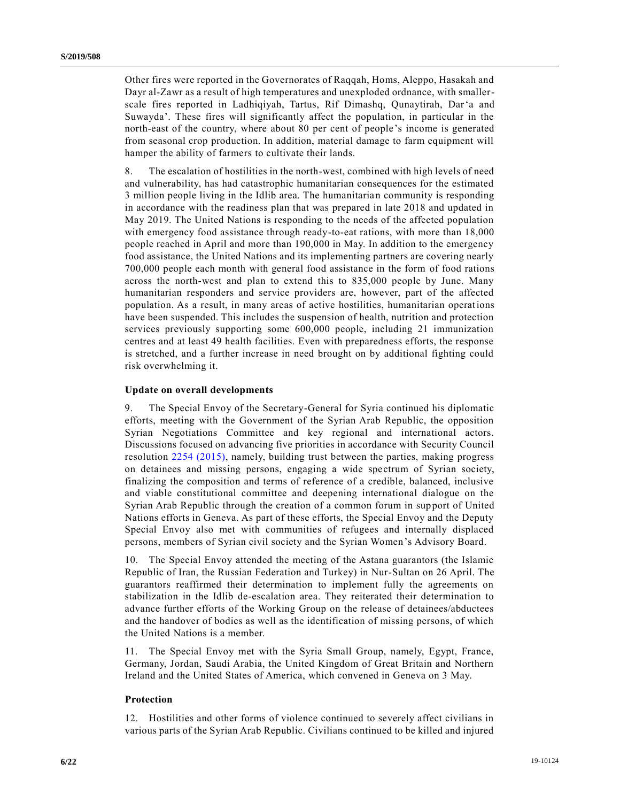Other fires were reported in the Governorates of Raqqah, Homs, Aleppo, Hasakah and Dayr al-Zawr as a result of high temperatures and unexploded ordnance, with smallerscale fires reported in Ladhiqiyah, Tartus, Rif Dimashq, Qunaytirah, Dar'a and Suwayda'. These fires will significantly affect the population, in particular in the north-east of the country, where about 80 per cent of people's income is generated from seasonal crop production. In addition, material damage to farm equipment will hamper the ability of farmers to cultivate their lands.

8. The escalation of hostilities in the north-west, combined with high levels of need and vulnerability, has had catastrophic humanitarian consequences for the estimated 3 million people living in the Idlib area. The humanitarian community is responding in accordance with the readiness plan that was prepared in late 2018 and updated in May 2019. The United Nations is responding to the needs of the affected population with emergency food assistance through ready-to-eat rations, with more than 18,000 people reached in April and more than 190,000 in May. In addition to the emergency food assistance, the United Nations and its implementing partners are covering nearly 700,000 people each month with general food assistance in the form of food rations across the north-west and plan to extend this to 835,000 people by June. Many humanitarian responders and service providers are, however, part of the affected population. As a result, in many areas of active hostilities, humanitarian operations have been suspended. This includes the suspension of health, nutrition and protection services previously supporting some 600,000 people, including 21 immunization centres and at least 49 health facilities. Even with preparedness efforts, the response is stretched, and a further increase in need brought on by additional fighting could risk overwhelming it.

### **Update on overall developments**

9. The Special Envoy of the Secretary-General for Syria continued his diplomatic efforts, meeting with the Government of the Syrian Arab Republic, the opposition Syrian Negotiations Committee and key regional and international actors. Discussions focused on advancing five priorities in accordance with Security Council resolution [2254 \(2015\),](https://undocs.org/en/S/RES/2254%20(2015)) namely, building trust between the parties, making progress on detainees and missing persons, engaging a wide spectrum of Syrian society, finalizing the composition and terms of reference of a credible, balanced, inclusive and viable constitutional committee and deepening international dialogue on the Syrian Arab Republic through the creation of a common forum in support of United Nations efforts in Geneva. As part of these efforts, the Special Envoy and the Deputy Special Envoy also met with communities of refugees and internally displaced persons, members of Syrian civil society and the Syrian Women's Advisory Board.

10. The Special Envoy attended the meeting of the Astana guarantors (the Islamic Republic of Iran, the Russian Federation and Turkey) in Nur-Sultan on 26 April. The guarantors reaffirmed their determination to implement fully the agreements on stabilization in the Idlib de-escalation area. They reiterated their determination to advance further efforts of the Working Group on the release of detainees/abductees and the handover of bodies as well as the identification of missing persons, of which the United Nations is a member.

11. The Special Envoy met with the Syria Small Group, namely, Egypt, France, Germany, Jordan, Saudi Arabia, the United Kingdom of Great Britain and Northern Ireland and the United States of America, which convened in Geneva on 3 May.

### **Protection**

12. Hostilities and other forms of violence continued to severely affect civilians in various parts of the Syrian Arab Republic. Civilians continued to be killed and injured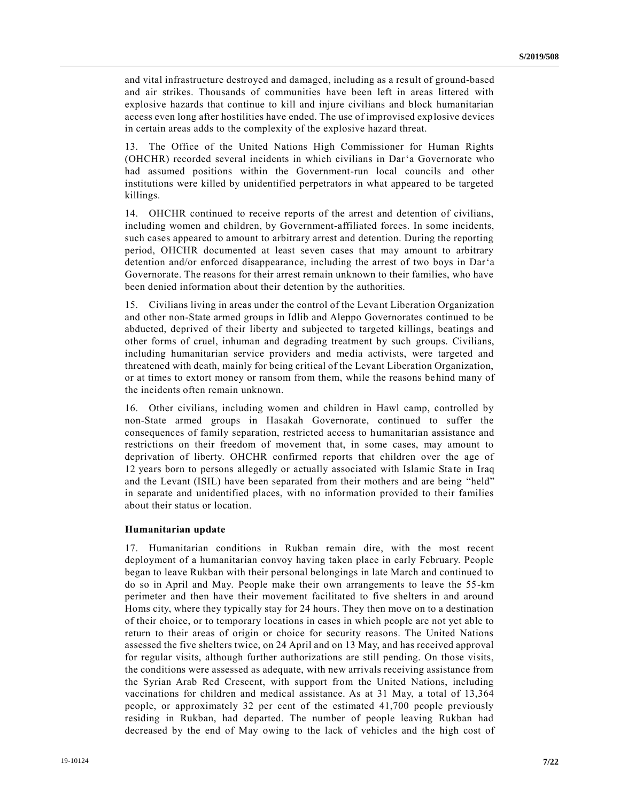and vital infrastructure destroyed and damaged, including as a result of ground-based and air strikes. Thousands of communities have been left in areas littered with explosive hazards that continue to kill and injure civilians and block humanitarian access even long after hostilities have ended. The use of improvised explosive devices in certain areas adds to the complexity of the explosive hazard threat.

13. The Office of the United Nations High Commissioner for Human Rights (OHCHR) recorded several incidents in which civilians in Dar'a Governorate who had assumed positions within the Government-run local councils and other institutions were killed by unidentified perpetrators in what appeared to be targeted killings.

14. OHCHR continued to receive reports of the arrest and detention of civilians, including women and children, by Government-affiliated forces. In some incidents, such cases appeared to amount to arbitrary arrest and detention. During the reporting period, OHCHR documented at least seven cases that may amount to arbitrary detention and/or enforced disappearance, including the arrest of two boys in Dar'a Governorate. The reasons for their arrest remain unknown to their families, who have been denied information about their detention by the authorities.

15. Civilians living in areas under the control of the Levant Liberation Organization and other non-State armed groups in Idlib and Aleppo Governorates continued to be abducted, deprived of their liberty and subjected to targeted killings, beatings and other forms of cruel, inhuman and degrading treatment by such groups. Civilians, including humanitarian service providers and media activists, were targeted and threatened with death, mainly for being critical of the Levant Liberation Organization, or at times to extort money or ransom from them, while the reasons behind many of the incidents often remain unknown.

16. Other civilians, including women and children in Hawl camp, controlled by non-State armed groups in Hasakah Governorate, continued to suffer the consequences of family separation, restricted access to humanitarian assistance and restrictions on their freedom of movement that, in some cases, may amount to deprivation of liberty. OHCHR confirmed reports that children over the age of 12 years born to persons allegedly or actually associated with Islamic State in Iraq and the Levant (ISIL) have been separated from their mothers and are being "held" in separate and unidentified places, with no information provided to their families about their status or location.

#### **Humanitarian update**

17. Humanitarian conditions in Rukban remain dire, with the most recent deployment of a humanitarian convoy having taken place in early February. People began to leave Rukban with their personal belongings in late March and continued to do so in April and May. People make their own arrangements to leave the 55-km perimeter and then have their movement facilitated to five shelters in and around Homs city, where they typically stay for 24 hours. They then move on to a destination of their choice, or to temporary locations in cases in which people are not yet able to return to their areas of origin or choice for security reasons. The United Nations assessed the five shelters twice, on 24 April and on 13 May, and has received approval for regular visits, although further authorizations are still pending. On those visits, the conditions were assessed as adequate, with new arrivals receiving assistance from the Syrian Arab Red Crescent, with support from the United Nations, including vaccinations for children and medical assistance. As at 31 May, a total of 13,364 people, or approximately 32 per cent of the estimated 41,700 people previously residing in Rukban, had departed. The number of people leaving Rukban had decreased by the end of May owing to the lack of vehicles and the high cost of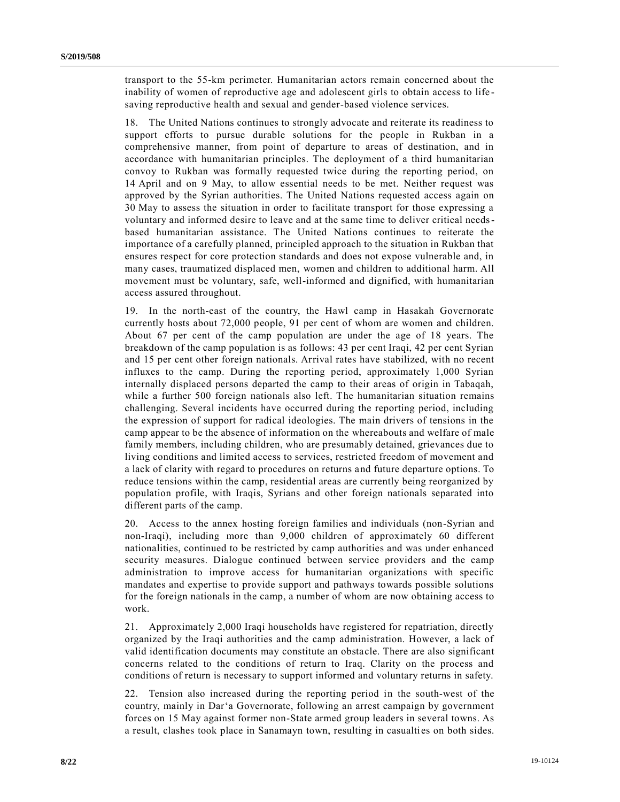transport to the 55-km perimeter. Humanitarian actors remain concerned about the inability of women of reproductive age and adolescent girls to obtain access to life saving reproductive health and sexual and gender-based violence services.

18. The United Nations continues to strongly advocate and reiterate its readiness to support efforts to pursue durable solutions for the people in Rukban in a comprehensive manner, from point of departure to areas of destination, and in accordance with humanitarian principles. The deployment of a third humanitarian convoy to Rukban was formally requested twice during the reporting period, on 14 April and on 9 May, to allow essential needs to be met. Neither request was approved by the Syrian authorities. The United Nations requested access again on 30 May to assess the situation in order to facilitate transport for those expressing a voluntary and informed desire to leave and at the same time to deliver critical needsbased humanitarian assistance. The United Nations continues to reiterate the importance of a carefully planned, principled approach to the situation in Rukban that ensures respect for core protection standards and does not expose vulnerable and, in many cases, traumatized displaced men, women and children to additional harm. All movement must be voluntary, safe, well-informed and dignified, with humanitarian access assured throughout.

19. In the north-east of the country, the Hawl camp in Hasakah Governorate currently hosts about 72,000 people, 91 per cent of whom are women and children. About 67 per cent of the camp population are under the age of 18 years. The breakdown of the camp population is as follows: 43 per cent Iraqi, 42 per cent Syrian and 15 per cent other foreign nationals. Arrival rates have stabilized, with no recent influxes to the camp. During the reporting period, approximately 1,000 Syrian internally displaced persons departed the camp to their areas of origin in Tabaqah, while a further 500 foreign nationals also left. The humanitarian situation remains challenging. Several incidents have occurred during the reporting period, including the expression of support for radical ideologies. The main drivers of tensions in the camp appear to be the absence of information on the whereabouts and welfare of male family members, including children, who are presumably detained, grievances due to living conditions and limited access to services, restricted freedom of movement and a lack of clarity with regard to procedures on returns and future departure options. To reduce tensions within the camp, residential areas are currently being reorganized by population profile, with Iraqis, Syrians and other foreign nationals separated into different parts of the camp.

20. Access to the annex hosting foreign families and individuals (non-Syrian and non-Iraqi), including more than 9,000 children of approximately 60 different nationalities, continued to be restricted by camp authorities and was under enhanced security measures. Dialogue continued between service providers and the camp administration to improve access for humanitarian organizations with specific mandates and expertise to provide support and pathways towards possible solutions for the foreign nationals in the camp, a number of whom are now obtaining access to work.

21. Approximately 2,000 Iraqi households have registered for repatriation, directly organized by the Iraqi authorities and the camp administration. However, a lack of valid identification documents may constitute an obstacle. There are also significant concerns related to the conditions of return to Iraq. Clarity on the process and conditions of return is necessary to support informed and voluntary returns in safety.

22. Tension also increased during the reporting period in the south-west of the country, mainly in Dar'a Governorate, following an arrest campaign by government forces on 15 May against former non-State armed group leaders in several towns. As a result, clashes took place in Sanamayn town, resulting in casualties on both sides.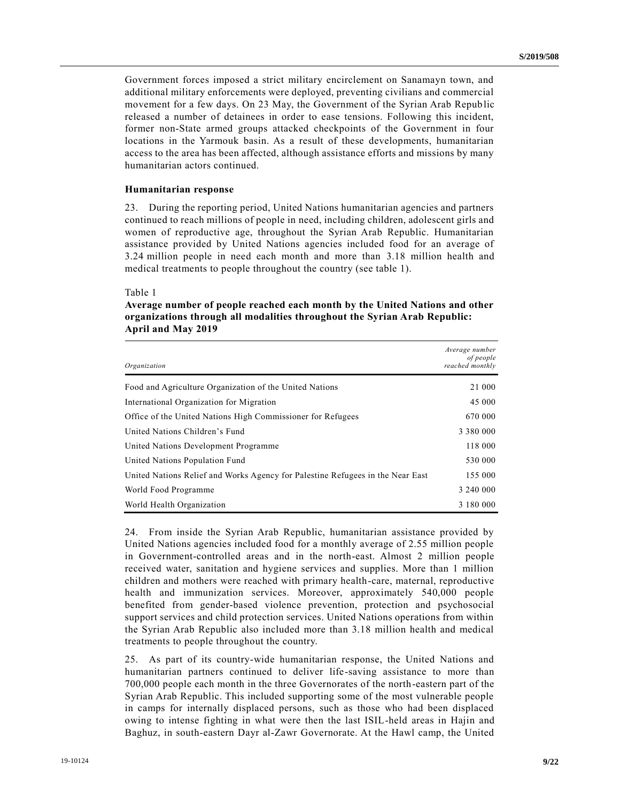Government forces imposed a strict military encirclement on Sanamayn town, and additional military enforcements were deployed, preventing civilians and commercial movement for a few days. On 23 May, the Government of the Syrian Arab Repub lic released a number of detainees in order to ease tensions. Following this incident, former non-State armed groups attacked checkpoints of the Government in four locations in the Yarmouk basin. As a result of these developments, humanitarian access to the area has been affected, although assistance efforts and missions by many humanitarian actors continued.

### **Humanitarian response**

23. During the reporting period, United Nations humanitarian agencies and partners continued to reach millions of people in need, including children, adolescent girls and women of reproductive age, throughout the Syrian Arab Republic. Humanitarian assistance provided by United Nations agencies included food for an average of 3.24 million people in need each month and more than 3.18 million health and medical treatments to people throughout the country (see table 1).

#### Table 1

| Average number of people reached each month by the United Nations and other |
|-----------------------------------------------------------------------------|
| organizations through all modalities throughout the Syrian Arab Republic:   |
| <b>April and May 2019</b>                                                   |

| Organization                                                                   | Average number<br>of people<br>reached monthly |
|--------------------------------------------------------------------------------|------------------------------------------------|
| Food and Agriculture Organization of the United Nations                        | 21 000                                         |
| International Organization for Migration                                       | 45 000                                         |
| Office of the United Nations High Commissioner for Refugees                    | 670 000                                        |
| United Nations Children's Fund                                                 | 3 3 8 0 0 0 0 0                                |
| United Nations Development Programme                                           | 118 000                                        |
| United Nations Population Fund                                                 | 530 000                                        |
| United Nations Relief and Works Agency for Palestine Refugees in the Near East | 155 000                                        |
| World Food Programme                                                           | 3 240 000                                      |
| World Health Organization                                                      | 3 180 000                                      |

24. From inside the Syrian Arab Republic, humanitarian assistance provided by United Nations agencies included food for a monthly average of 2.55 million people in Government-controlled areas and in the north-east. Almost 2 million people received water, sanitation and hygiene services and supplies. More than 1 million children and mothers were reached with primary health-care, maternal, reproductive health and immunization services. Moreover, approximately 540,000 people benefited from gender-based violence prevention, protection and psychosocial support services and child protection services. United Nations operations from within the Syrian Arab Republic also included more than 3.18 million health and medical treatments to people throughout the country.

25. As part of its country-wide humanitarian response, the United Nations and humanitarian partners continued to deliver life-saving assistance to more than 700,000 people each month in the three Governorates of the north-eastern part of the Syrian Arab Republic. This included supporting some of the most vulnerable people in camps for internally displaced persons, such as those who had been displaced owing to intense fighting in what were then the last ISIL-held areas in Hajin and Baghuz, in south-eastern Dayr al-Zawr Governorate. At the Hawl camp, the United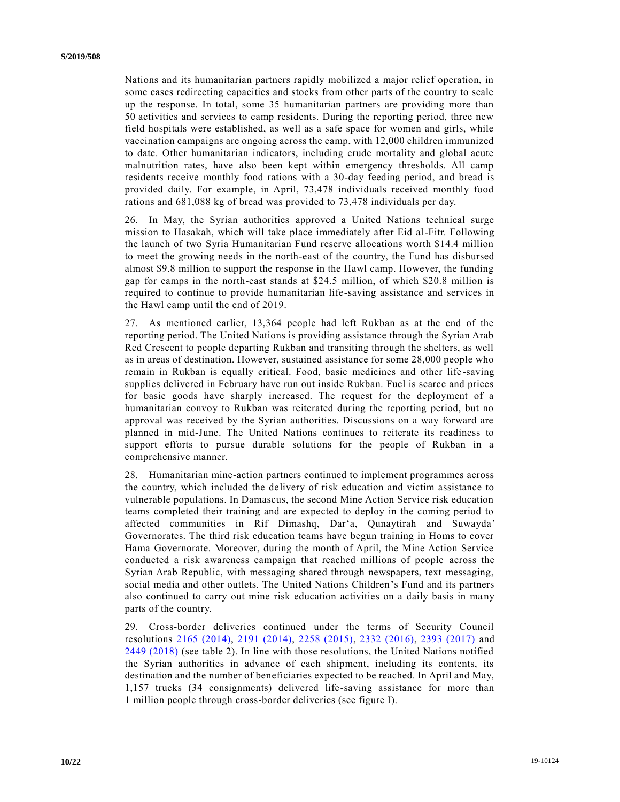Nations and its humanitarian partners rapidly mobilized a major relief operation, in some cases redirecting capacities and stocks from other parts of the country to scale up the response. In total, some 35 humanitarian partners are providing more than 50 activities and services to camp residents. During the reporting period, three new field hospitals were established, as well as a safe space for women and girls, while vaccination campaigns are ongoing across the camp, with 12,000 children immunized to date. Other humanitarian indicators, including crude mortality and global acute malnutrition rates, have also been kept within emergency thresholds. All camp residents receive monthly food rations with a 30-day feeding period, and bread is provided daily. For example, in April, 73,478 individuals received monthly food rations and 681,088 kg of bread was provided to 73,478 individuals per day.

26. In May, the Syrian authorities approved a United Nations technical surge mission to Hasakah, which will take place immediately after Eid al-Fitr. Following the launch of two Syria Humanitarian Fund reserve allocations worth \$14.4 million to meet the growing needs in the north-east of the country, the Fund has disbursed almost \$9.8 million to support the response in the Hawl camp. However, the funding gap for camps in the north-east stands at \$24.5 million, of which \$20.8 million is required to continue to provide humanitarian life-saving assistance and services in the Hawl camp until the end of 2019.

27. As mentioned earlier, 13,364 people had left Rukban as at the end of the reporting period. The United Nations is providing assistance through the Syrian Arab Red Crescent to people departing Rukban and transiting through the shelters, as well as in areas of destination. However, sustained assistance for some 28,000 people who remain in Rukban is equally critical. Food, basic medicines and other life -saving supplies delivered in February have run out inside Rukban. Fuel is scarce and prices for basic goods have sharply increased. The request for the deployment of a humanitarian convoy to Rukban was reiterated during the reporting period, but no approval was received by the Syrian authorities. Discussions on a way forward are planned in mid-June. The United Nations continues to reiterate its readiness to support efforts to pursue durable solutions for the people of Rukban in a comprehensive manner.

28. Humanitarian mine-action partners continued to implement programmes across the country, which included the delivery of risk education and victim assistance to vulnerable populations. In Damascus, the second Mine Action Service risk education teams completed their training and are expected to deploy in the coming period to affected communities in Rif Dimashq, Dar'a, Qunaytirah and Suwayda' Governorates. The third risk education teams have begun training in Homs to cover Hama Governorate. Moreover, during the month of April, the Mine Action Service conducted a risk awareness campaign that reached millions of people across the Syrian Arab Republic, with messaging shared through newspapers, text messaging, social media and other outlets. The United Nations Children's Fund and its partners also continued to carry out mine risk education activities on a daily basis in ma ny parts of the country.

29. Cross-border deliveries continued under the terms of Security Council resolutions [2165 \(2014\),](https://undocs.org/en/S/RES/2165%20(2014)) [2191 \(2014\),](https://undocs.org/en/S/RES/2191%20(2014)) [2258 \(2015\),](https://undocs.org/en/S/RES/2258%20(2015)) [2332 \(2016\),](https://undocs.org/en/S/RES/2332%20(2016)) [2393 \(2017\)](https://undocs.org/en/S/RES/2393%20(2017)) and [2449 \(2018\)](https://undocs.org/en/S/RES/2449%20(2018)) (see table 2). In line with those resolutions, the United Nations notified the Syrian authorities in advance of each shipment, including its contents, its destination and the number of beneficiaries expected to be reached. In April and May, 1,157 trucks (34 consignments) delivered life-saving assistance for more than 1 million people through cross-border deliveries (see figure I).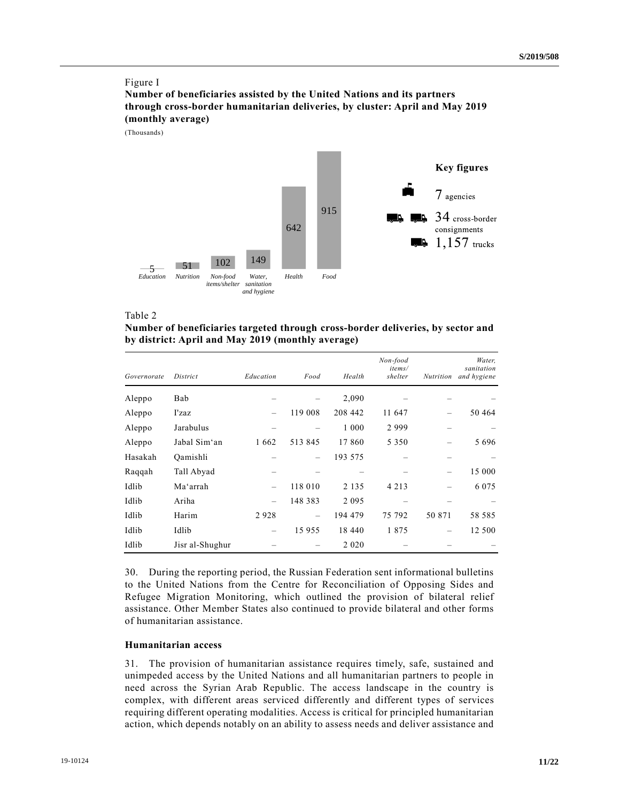## Figure I

**Number of beneficiaries assisted by the United Nations and its partners through cross-border humanitarian deliveries, by cluster: April and May 2019 (monthly average)**

(Thousands)



#### Table 2

| Number of beneficiaries targeted through cross-border deliveries, by sector and |
|---------------------------------------------------------------------------------|
| by district: April and May 2019 (monthly average)                               |

| Governorate | District        | Education | Food    | Health  | Non-food<br>items/<br>shelter | <b>Nutrition</b> | Water,<br>sanitation<br>and hygiene |
|-------------|-----------------|-----------|---------|---------|-------------------------------|------------------|-------------------------------------|
| Aleppo      | Bab             |           |         | 2,090   |                               |                  |                                     |
| Aleppo      | I'zaz           |           | 119 008 | 208 442 | 11 647                        |                  | 50 4 64                             |
| Aleppo      | Jarabulus       |           |         | 1 000   | 2999                          |                  |                                     |
| Aleppo      | Jabal Sim'an    | 1662      | 513 845 | 17860   | 5 3 5 0                       |                  | 5696                                |
| Hasakah     | Qamishli        |           |         | 193 575 |                               |                  |                                     |
| Raqqah      | Tall Abyad      |           |         |         |                               |                  | 15 000                              |
| Idlib       | Ma'arrah        |           | 118 010 | 2 1 3 5 | 4 2 1 3                       |                  | 6 0 7 5                             |
| Idlib       | Ariha           |           | 148 383 | 2 0 9 5 |                               |                  |                                     |
| Idlib       | Harim           | 2928      |         | 194 479 | 75 792                        | 50 871           | 58 585                              |
| Idlib       | Idlib           |           | 15 955  | 18 440  | 1875                          |                  | 12 500                              |
| Idlib       | Jisr al-Shughur |           |         | 2 0 2 0 |                               |                  |                                     |

30. During the reporting period, the Russian Federation sent informational bulletins to the United Nations from the Centre for Reconciliation of Opposing Sides and Refugee Migration Monitoring, which outlined the provision of bilateral relief assistance. Other Member States also continued to provide bilateral and other forms of humanitarian assistance.

# **Humanitarian access**

31. The provision of humanitarian assistance requires timely, safe, sustained and unimpeded access by the United Nations and all humanitarian partners to people in need across the Syrian Arab Republic. The access landscape in the country is complex, with different areas serviced differently and different types of services requiring different operating modalities. Access is critical for principled humanitarian action, which depends notably on an ability to assess needs and deliver assistance and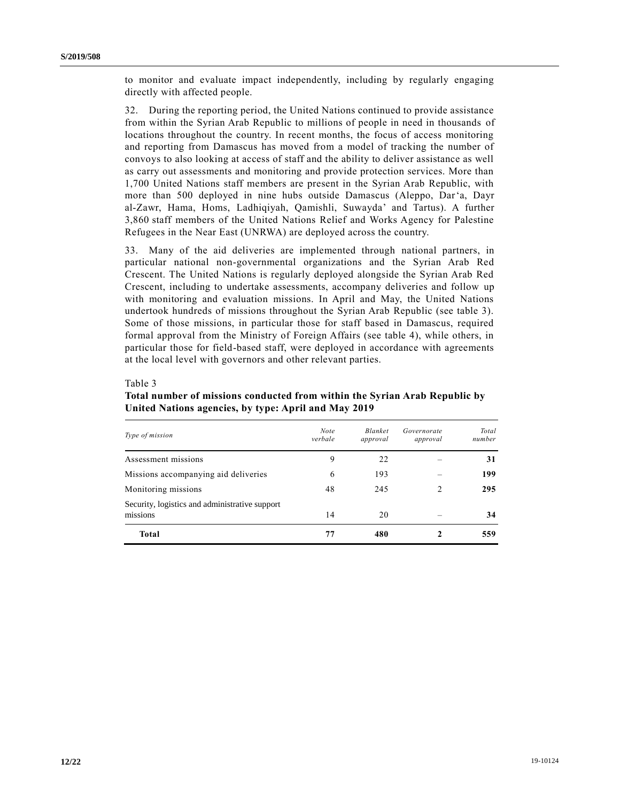to monitor and evaluate impact independently, including by regularly engaging directly with affected people.

32. During the reporting period, the United Nations continued to provide assistance from within the Syrian Arab Republic to millions of people in need in thousands of locations throughout the country. In recent months, the focus of access monitoring and reporting from Damascus has moved from a model of tracking the number of convoys to also looking at access of staff and the ability to deliver assistance as well as carry out assessments and monitoring and provide protection services. More than 1,700 United Nations staff members are present in the Syrian Arab Republic, with more than 500 deployed in nine hubs outside Damascus (Aleppo, Dar'a, Dayr al-Zawr, Hama, Homs, Ladhiqiyah, Qamishli, Suwayda' and Tartus). A further 3,860 staff members of the United Nations Relief and Works Agency for Palestine Refugees in the Near East (UNRWA) are deployed across the country.

33. Many of the aid deliveries are implemented through national partners, in particular national non-governmental organizations and the Syrian Arab Red Crescent. The United Nations is regularly deployed alongside the Syrian Arab Red Crescent, including to undertake assessments, accompany deliveries and follow up with monitoring and evaluation missions. In April and May, the United Nations undertook hundreds of missions throughout the Syrian Arab Republic (see table 3). Some of those missions, in particular those for staff based in Damascus, required formal approval from the Ministry of Foreign Affairs (see table 4), while others, in particular those for field-based staff, were deployed in accordance with agreements at the local level with governors and other relevant parties.

#### Table 3

# **Total number of missions conducted from within the Syrian Arab Republic by United Nations agencies, by type: April and May 2019**

| Type of mission                                            | <b>Note</b><br>verbale | <b>Blanket</b><br>approval | Governorate<br>approval | Total<br>number |
|------------------------------------------------------------|------------------------|----------------------------|-------------------------|-----------------|
| Assessment missions                                        | 9                      | 22                         |                         | 31              |
| Missions accompanying aid deliveries                       | 6                      | 193                        |                         | 199             |
| Monitoring missions                                        | 48                     | 245                        |                         | 295             |
| Security, logistics and administrative support<br>missions | 14                     | 20                         |                         | 34              |
| <b>Total</b>                                               | 77                     | 480                        |                         | 559             |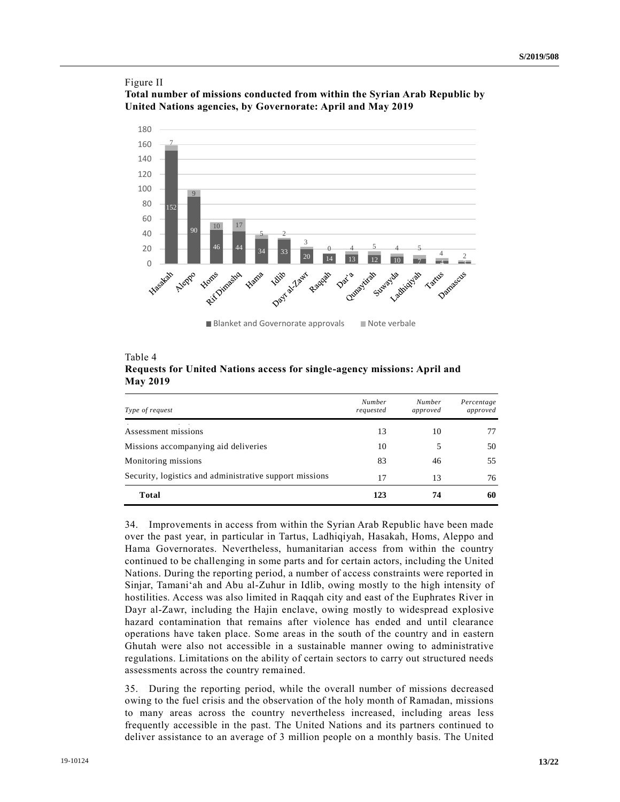# Figure II **Total number of missions conducted from within the Syrian Arab Republic by United Nations agencies, by Governorate: April and May 2019**



Blanket and Governorate approvals Note verbale

| Table 4         |  |                                                                          |  |
|-----------------|--|--------------------------------------------------------------------------|--|
|                 |  | Requests for United Nations access for single-agency missions: April and |  |
| <b>May 2019</b> |  |                                                                          |  |

| Type of request                                         | <b>Number</b><br>requested | <b>Number</b><br>approved | Percentage<br>approved |
|---------------------------------------------------------|----------------------------|---------------------------|------------------------|
| Assessment missions                                     | 13                         | 10                        | 77                     |
| Missions accompanying aid deliveries                    | 10                         |                           | 50                     |
| Monitoring missions                                     | 83                         | 46                        | 55                     |
| Security, logistics and administrative support missions | 17                         | 13                        | 76                     |
| Total                                                   | 123                        | 74                        | 60                     |

34. Improvements in access from within the Syrian Arab Republic have been made over the past year, in particular in Tartus, Ladhiqiyah, Hasakah, Homs, Aleppo and Hama Governorates. Nevertheless, humanitarian access from within the country continued to be challenging in some parts and for certain actors, including the United Nations. During the reporting period, a number of access constraints were reported in Sinjar, Tamani'ah and Abu al-Zuhur in Idlib, owing mostly to the high intensity of hostilities. Access was also limited in Raqqah city and east of the Euphrates River in Dayr al-Zawr, including the Hajin enclave, owing mostly to widespread explosive hazard contamination that remains after violence has ended and until clearance operations have taken place. Some areas in the south of the country and in eastern Ghutah were also not accessible in a sustainable manner owing to administrative regulations. Limitations on the ability of certain sectors to carry out structured needs assessments across the country remained.

35. During the reporting period, while the overall number of missions decreased owing to the fuel crisis and the observation of the holy month of Ramadan, missions to many areas across the country nevertheless increased, including areas less frequently accessible in the past. The United Nations and its partners continued to deliver assistance to an average of 3 million people on a monthly basis. The United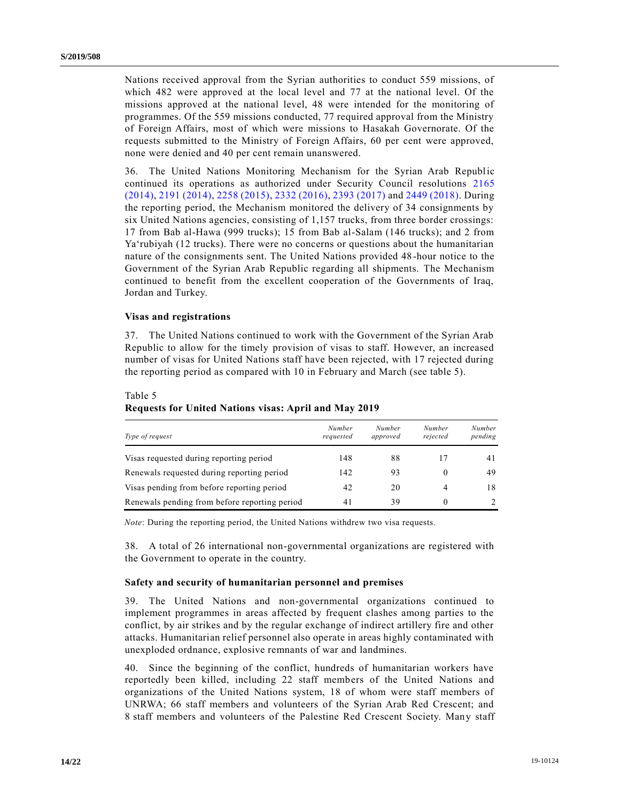Nations received approval from the Syrian authorities to conduct 559 missions, of which 482 were approved at the local level and 77 at the national level. Of the missions approved at the national level, 48 were intended for the monitoring of programmes. Of the 559 missions conducted, 77 required approval from the Ministry of Foreign Affairs, most of which were missions to Hasakah Governorate. Of the requests submitted to the Ministry of Foreign Affairs, 60 per cent were approved, none were denied and 40 per cent remain unanswered.

36. The United Nations Monitoring Mechanism for the Syrian Arab Republic continued its operations as authorized under Security Council resolutions [2165](https://undocs.org/en/S/RES/2165%20(2014))  [\(2014\),](https://undocs.org/en/S/RES/2165%20(2014)) [2191 \(2014\),](https://undocs.org/en/S/RES/2191%20(2014)) [2258 \(2015\),](https://undocs.org/en/S/RES/2258%20(2015)) [2332 \(2016\),](https://undocs.org/en/S/RES/2332%20(2016)) [2393 \(2017\)](https://undocs.org/en/S/RES/2393%20(2017)) and [2449 \(2018\).](https://undocs.org/en/S/RES/2449%20(2018)) During the reporting period, the Mechanism monitored the delivery of 34 consignments by six United Nations agencies, consisting of 1,157 trucks, from three border crossings: 17 from Bab al-Hawa (999 trucks); 15 from Bab al-Salam (146 trucks); and 2 from Ya'rubiyah (12 trucks). There were no concerns or questions about the humanitarian nature of the consignments sent. The United Nations provided 48-hour notice to the Government of the Syrian Arab Republic regarding all shipments. The Mechanism continued to benefit from the excellent cooperation of the Governments of Iraq, Jordan and Turkey.

## **Visas and registrations**

37. The United Nations continued to work with the Government of the Syrian Arab Republic to allow for the timely provision of visas to staff. However, an increased number of visas for United Nations staff have been rejected, with 17 rejected during the reporting period as compared with 10 in February and March (see table 5).

## Table 5

## **Requests for United Nations visas: April and May 2019**

| Type of request                               | Number<br>requested | Number<br>approved | Number<br>rejected | <b>Number</b><br>pending |
|-----------------------------------------------|---------------------|--------------------|--------------------|--------------------------|
| Visas requested during reporting period       | 148                 | 88                 |                    | 4 I                      |
| Renewals requested during reporting period    | 142                 | 93                 | 0                  | 49                       |
| Visas pending from before reporting period    | 42                  | 20                 | 4                  | 18                       |
| Renewals pending from before reporting period | 41                  | 39                 | $_{0}$             |                          |

*Note*: During the reporting period, the United Nations withdrew two visa requests.

38. A total of 26 international non-governmental organizations are registered with the Government to operate in the country.

#### **Safety and security of humanitarian personnel and premises**

39. The United Nations and non-governmental organizations continued to implement programmes in areas affected by frequent clashes among parties to the conflict, by air strikes and by the regular exchange of indirect artillery fire and other attacks. Humanitarian relief personnel also operate in areas highly contaminated with unexploded ordnance, explosive remnants of war and landmines.

40. Since the beginning of the conflict, hundreds of humanitarian workers have reportedly been killed, including 22 staff members of the United Nations and organizations of the United Nations system, 18 of whom were staff members of UNRWA; 66 staff members and volunteers of the Syrian Arab Red Crescent; and 8 staff members and volunteers of the Palestine Red Crescent Society. Many staff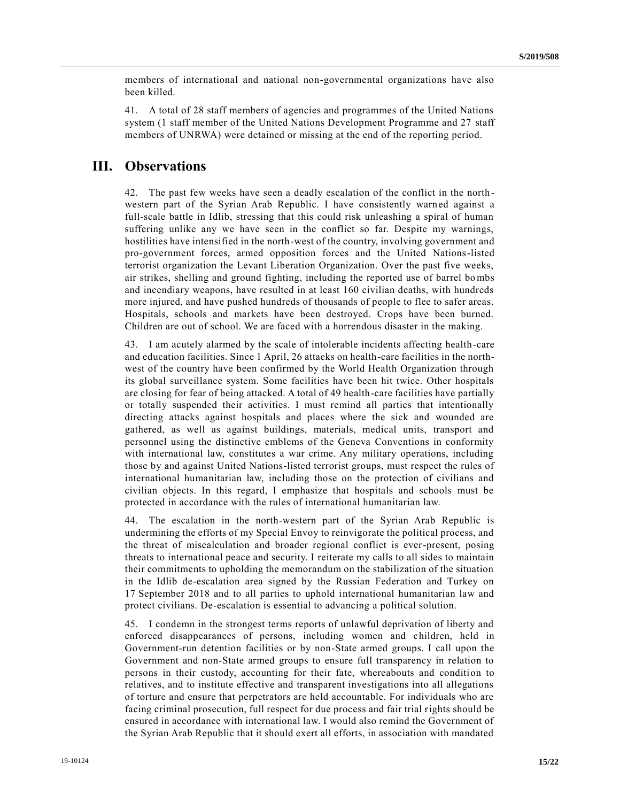members of international and national non-governmental organizations have also been killed.

41. A total of 28 staff members of agencies and programmes of the United Nations system (1 staff member of the United Nations Development Programme and 27 staff members of UNRWA) were detained or missing at the end of the reporting period.

# **III. Observations**

42. The past few weeks have seen a deadly escalation of the conflict in the northwestern part of the Syrian Arab Republic. I have consistently warned against a full-scale battle in Idlib, stressing that this could risk unleashing a spiral of human suffering unlike any we have seen in the conflict so far. Despite my warnings, hostilities have intensified in the north-west of the country, involving government and pro-government forces, armed opposition forces and the United Nations-listed terrorist organization the Levant Liberation Organization. Over the past five weeks, air strikes, shelling and ground fighting, including the reported use of barrel bo mbs and incendiary weapons, have resulted in at least 160 civilian deaths, with hundreds more injured, and have pushed hundreds of thousands of people to flee to safer areas. Hospitals, schools and markets have been destroyed. Crops have been burned. Children are out of school. We are faced with a horrendous disaster in the making.

43. I am acutely alarmed by the scale of intolerable incidents affecting health-care and education facilities. Since 1 April, 26 attacks on health-care facilities in the northwest of the country have been confirmed by the World Health Organization through its global surveillance system. Some facilities have been hit twice. Other hospitals are closing for fear of being attacked. A total of 49 health-care facilities have partially or totally suspended their activities. I must remind all parties that intentionally directing attacks against hospitals and places where the sick and wounded are gathered, as well as against buildings, materials, medical units, transport and personnel using the distinctive emblems of the Geneva Conventions in conformity with international law, constitutes a war crime. Any military operations, including those by and against United Nations-listed terrorist groups, must respect the rules of international humanitarian law, including those on the protection of civilians and civilian objects. In this regard, I emphasize that hospitals and schools must be protected in accordance with the rules of international humanitarian law.

44. The escalation in the north-western part of the Syrian Arab Republic is undermining the efforts of my Special Envoy to reinvigorate the political process, and the threat of miscalculation and broader regional conflict is ever-present, posing threats to international peace and security. I reiterate my calls to all sides to maintain their commitments to upholding the memorandum on the stabilization of the situation in the Idlib de-escalation area signed by the Russian Federation and Turkey on 17 September 2018 and to all parties to uphold international humanitarian law and protect civilians. De-escalation is essential to advancing a political solution.

45. I condemn in the strongest terms reports of unlawful deprivation of liberty and enforced disappearances of persons, including women and children, held in Government-run detention facilities or by non-State armed groups. I call upon the Government and non-State armed groups to ensure full transparency in relation to persons in their custody, accounting for their fate, whereabouts and condition to relatives, and to institute effective and transparent investigations into all allegations of torture and ensure that perpetrators are held accountable. For individuals who are facing criminal prosecution, full respect for due process and fair trial rights should be ensured in accordance with international law. I would also remind the Government of the Syrian Arab Republic that it should exert all efforts, in association with mandated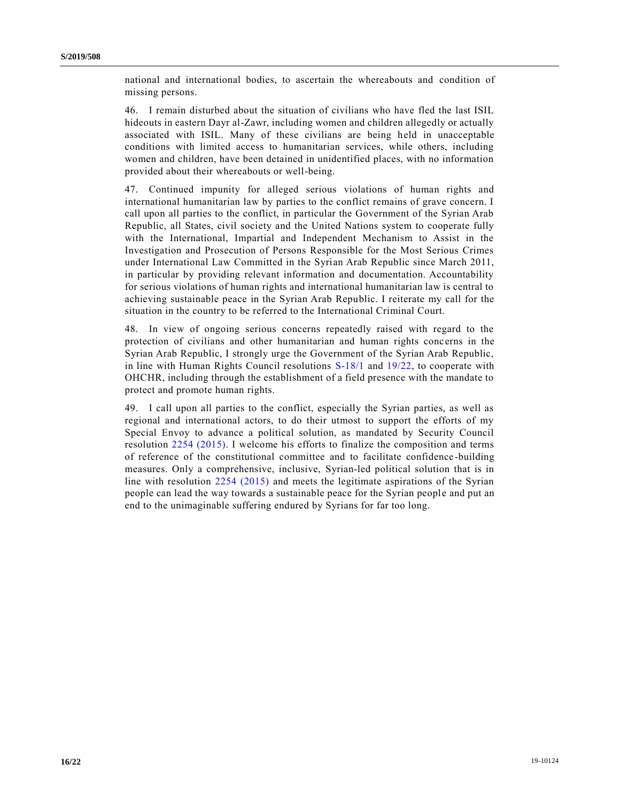national and international bodies, to ascertain the whereabouts and condition of missing persons.

46. I remain disturbed about the situation of civilians who have fled the last ISIL hideouts in eastern Dayr al-Zawr, including women and children allegedly or actually associated with ISIL. Many of these civilians are being held in unacceptable conditions with limited access to humanitarian services, while others, including women and children, have been detained in unidentified places, with no information provided about their whereabouts or well-being.

47. Continued impunity for alleged serious violations of human rights and international humanitarian law by parties to the conflict remains of grave concern. I call upon all parties to the conflict, in particular the Government of the Syrian Arab Republic, all States, civil society and the United Nations system to cooperate fully with the International, Impartial and Independent Mechanism to Assist in the Investigation and Prosecution of Persons Responsible for the Most Serious Crimes under International Law Committed in the Syrian Arab Republic since March 2011, in particular by providing relevant information and documentation. Accountability for serious violations of human rights and international humanitarian law is central to achieving sustainable peace in the Syrian Arab Republic. I reiterate my call for the situation in the country to be referred to the International Criminal Court.

48. In view of ongoing serious concerns repeatedly raised with regard to the protection of civilians and other humanitarian and human rights conc erns in the Syrian Arab Republic, I strongly urge the Government of the Syrian Arab Republic, in line with Human Rights Council resolutions [S-18/1](https://undocs.org/en/A/RES/S-18/1) and [19/22,](https://undocs.org/en/A/HRC/RES/19/22) to cooperate with OHCHR, including through the establishment of a field presence with the mandate to protect and promote human rights.

49. I call upon all parties to the conflict, especially the Syrian parties, as well as regional and international actors, to do their utmost to support the efforts of my Special Envoy to advance a political solution, as mandated by Security Council resolution [2254 \(2015\).](https://undocs.org/en/S/RES/2254%20(2015)) I welcome his efforts to finalize the composition and terms of reference of the constitutional committee and to facilitate confidence -building measures. Only a comprehensive, inclusive, Syrian-led political solution that is in line with resolution [2254 \(2015\)](https://undocs.org/en/S/RES/2254%20(2015)) and meets the legitimate aspirations of the Syrian people can lead the way towards a sustainable peace for the Syrian people and put an end to the unimaginable suffering endured by Syrians for far too long.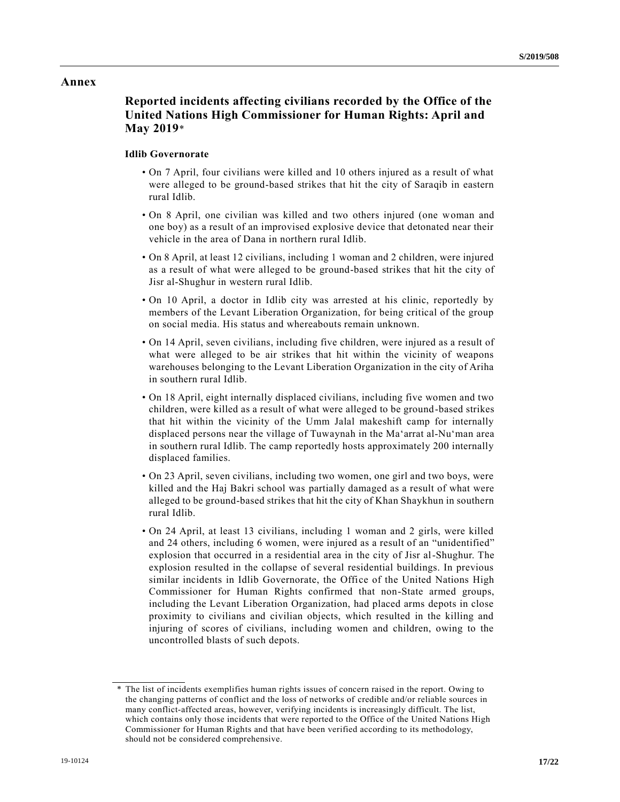# **Annex**

# **Reported incidents affecting civilians recorded by the Office of the United Nations High Commissioner for Human Rights: April and May 2019**\*

# **Idlib Governorate**

- On 7 April, four civilians were killed and 10 others injured as a result of what were alleged to be ground-based strikes that hit the city of Saraqib in eastern rural Idlib.
- On 8 April, one civilian was killed and two others injured (one woman and one boy) as a result of an improvised explosive device that detonated near their vehicle in the area of Dana in northern rural Idlib.
- On 8 April, at least 12 civilians, including 1 woman and 2 children, were injured as a result of what were alleged to be ground-based strikes that hit the city of Jisr al-Shughur in western rural Idlib.
- On 10 April, a doctor in Idlib city was arrested at his clinic, reportedly by members of the Levant Liberation Organization, for being critical of the group on social media. His status and whereabouts remain unknown.
- On 14 April, seven civilians, including five children, were injured as a result of what were alleged to be air strikes that hit within the vicinity of weapons warehouses belonging to the Levant Liberation Organization in the city of Ariha in southern rural Idlib.
- On 18 April, eight internally displaced civilians, including five women and two children, were killed as a result of what were alleged to be ground-based strikes that hit within the vicinity of the Umm Jalal makeshift camp for internally displaced persons near the village of Tuwaynah in the Ma'arrat al-Nu'man area in southern rural Idlib. The camp reportedly hosts approximately 200 internally displaced families.
- On 23 April, seven civilians, including two women, one girl and two boys, were killed and the Haj Bakri school was partially damaged as a result of what were alleged to be ground-based strikes that hit the city of Khan Shaykhun in southern rural Idlib.
- On 24 April, at least 13 civilians, including 1 woman and 2 girls, were killed and 24 others, including 6 women, were injured as a result of an "unidentified" explosion that occurred in a residential area in the city of Jisr al-Shughur. The explosion resulted in the collapse of several residential buildings. In previous similar incidents in Idlib Governorate, the Office of the United Nations High Commissioner for Human Rights confirmed that non-State armed groups, including the Levant Liberation Organization, had placed arms depots in close proximity to civilians and civilian objects, which resulted in the killing and injuring of scores of civilians, including women and children, owing to the uncontrolled blasts of such depots.

<sup>\*</sup> The list of incidents exemplifies human rights issues of concern raised in the report. Owing to the changing patterns of conflict and the loss of networks of credible and/or reliable sources in many conflict-affected areas, however, verifying incidents is increasingly difficult. The list, which contains only those incidents that were reported to the Office of the United Nations High Commissioner for Human Rights and that have been verified according to its methodology, should not be considered comprehensive.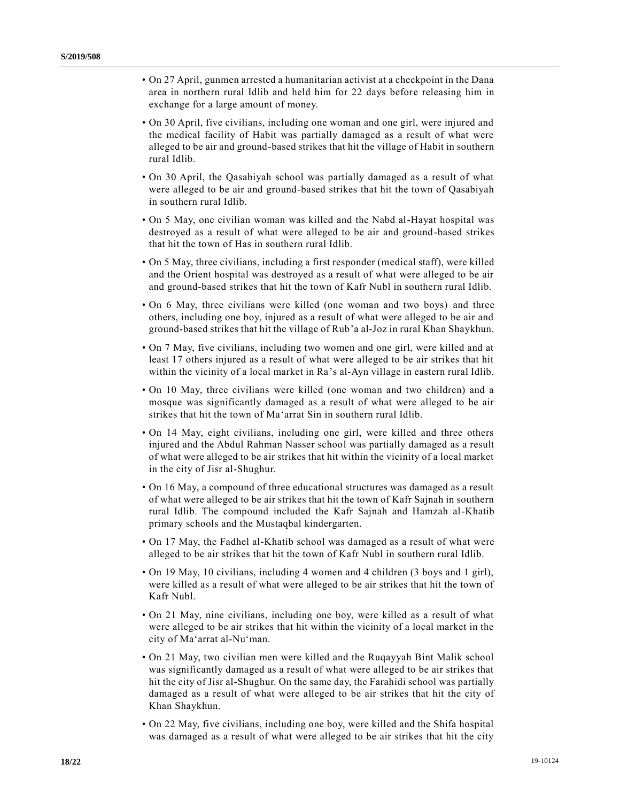- On 27 April, gunmen arrested a humanitarian activist at a checkpoint in the Dana area in northern rural Idlib and held him for 22 days before releasing him in exchange for a large amount of money.
- On 30 April, five civilians, including one woman and one girl, were injured and the medical facility of Habit was partially damaged as a result of what were alleged to be air and ground-based strikes that hit the village of Habit in southern rural Idlib.
- On 30 April, the Qasabiyah school was partially damaged as a result of what were alleged to be air and ground-based strikes that hit the town of Qasabiyah in southern rural Idlib.
- On 5 May, one civilian woman was killed and the Nabd al-Hayat hospital was destroyed as a result of what were alleged to be air and ground-based strikes that hit the town of Has in southern rural Idlib.
- On 5 May, three civilians, including a first responder (medical staff), were killed and the Orient hospital was destroyed as a result of what were alleged to be air and ground-based strikes that hit the town of Kafr Nubl in southern rural Idlib.
- On 6 May, three civilians were killed (one woman and two boys) and three others, including one boy, injured as a result of what were alleged to be air and ground-based strikes that hit the village of Rub'a al-Joz in rural Khan Shaykhun.
- On 7 May, five civilians, including two women and one girl, were killed and at least 17 others injured as a result of what were alleged to be air strikes that hit within the vicinity of a local market in Ra's al-Ayn village in eastern rural Idlib.
- On 10 May, three civilians were killed (one woman and two children) and a mosque was significantly damaged as a result of what were alleged to be air strikes that hit the town of Ma'arrat Sin in southern rural Idlib.
- On 14 May, eight civilians, including one girl, were killed and three others injured and the Abdul Rahman Nasser school was partially damaged as a result of what were alleged to be air strikes that hit within the vicinity of a local market in the city of Jisr al-Shughur.
- On 16 May, a compound of three educational structures was damaged as a result of what were alleged to be air strikes that hit the town of Kafr Sajnah in southern rural Idlib. The compound included the Kafr Sajnah and Hamzah al-Khatib primary schools and the Mustaqbal kindergarten.
- On 17 May, the Fadhel al-Khatib school was damaged as a result of what were alleged to be air strikes that hit the town of Kafr Nubl in southern rural Idlib.
- On 19 May, 10 civilians, including 4 women and 4 children (3 boys and 1 girl), were killed as a result of what were alleged to be air strikes that hit the town of Kafr Nubl.
- On 21 May, nine civilians, including one boy, were killed as a result of what were alleged to be air strikes that hit within the vicinity of a local market in the city of Ma'arrat al-Nu'man.
- On 21 May, two civilian men were killed and the Ruqayyah Bint Malik school was significantly damaged as a result of what were alleged to be air strikes that hit the city of Jisr al-Shughur. On the same day, the Farahidi school was partially damaged as a result of what were alleged to be air strikes that hit the city of Khan Shaykhun.
- On 22 May, five civilians, including one boy, were killed and the Shifa hospital was damaged as a result of what were alleged to be air strikes that hit the city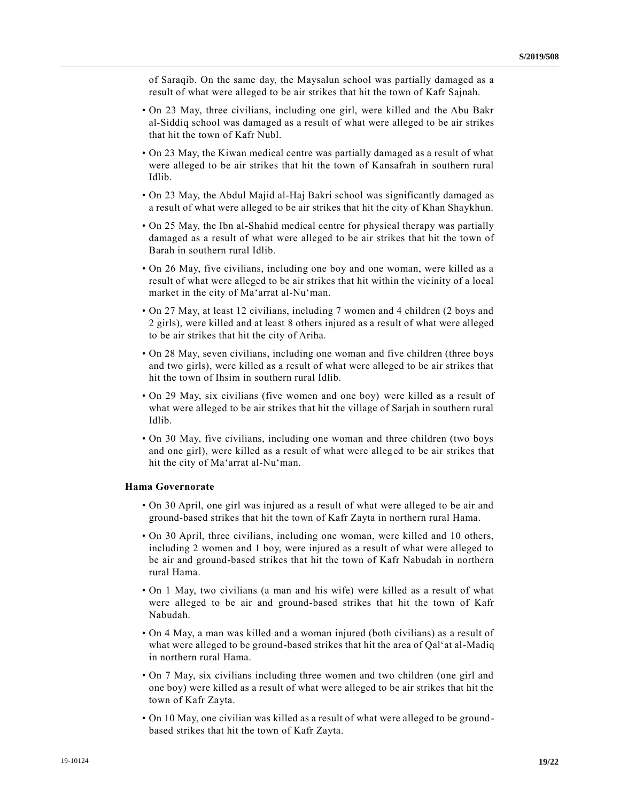of Saraqib. On the same day, the Maysalun school was partially damaged as a result of what were alleged to be air strikes that hit the town of Kafr Sajnah.

- On 23 May, three civilians, including one girl, were killed and the Abu Bakr al-Siddiq school was damaged as a result of what were alleged to be air strikes that hit the town of Kafr Nubl.
- On 23 May, the Kiwan medical centre was partially damaged as a result of what were alleged to be air strikes that hit the town of Kansafrah in southern rural Idlib.
- On 23 May, the Abdul Majid al-Haj Bakri school was significantly damaged as a result of what were alleged to be air strikes that hit the city of Khan Shaykhun.
- On 25 May, the Ibn al-Shahid medical centre for physical therapy was partially damaged as a result of what were alleged to be air strikes that hit the town of Barah in southern rural Idlib.
- On 26 May, five civilians, including one boy and one woman, were killed as a result of what were alleged to be air strikes that hit within the vicinity of a local market in the city of Ma'arrat al-Nu'man.
- On 27 May, at least 12 civilians, including 7 women and 4 children (2 boys and 2 girls), were killed and at least 8 others injured as a result of what were alleged to be air strikes that hit the city of Ariha.
- On 28 May, seven civilians, including one woman and five children (three boys and two girls), were killed as a result of what were alleged to be air strikes that hit the town of Ihsim in southern rural Idlib.
- On 29 May, six civilians (five women and one boy) were killed as a result of what were alleged to be air strikes that hit the village of Sarjah in southern rural Idlib.
- On 30 May, five civilians, including one woman and three children (two boys and one girl), were killed as a result of what were alleged to be air strikes that hit the city of Ma'arrat al-Nu'man.

### **Hama Governorate**

- On 30 April, one girl was injured as a result of what were alleged to be air and ground-based strikes that hit the town of Kafr Zayta in northern rural Hama.
- On 30 April, three civilians, including one woman, were killed and 10 others, including 2 women and 1 boy, were injured as a result of what were alleged to be air and ground-based strikes that hit the town of Kafr Nabudah in northern rural Hama.
- On 1 May, two civilians (a man and his wife) were killed as a result of what were alleged to be air and ground-based strikes that hit the town of Kafr Nabudah.
- On 4 May, a man was killed and a woman injured (both civilians) as a result of what were alleged to be ground-based strikes that hit the area of Qalʻat al-Madiq in northern rural Hama.
- On 7 May, six civilians including three women and two children (one girl and one boy) were killed as a result of what were alleged to be air strikes that hit the town of Kafr Zayta.
- On 10 May, one civilian was killed as a result of what were alleged to be groundbased strikes that hit the town of Kafr Zayta.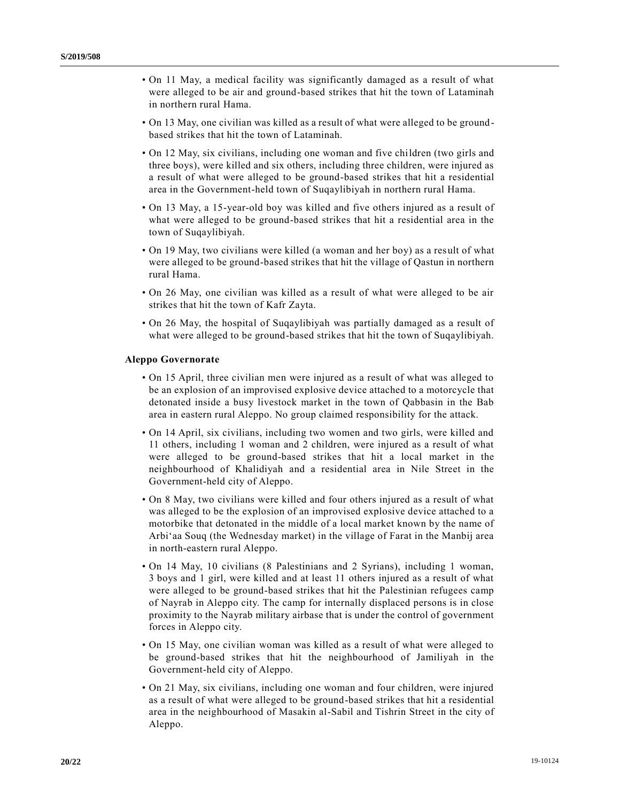- On 11 May, a medical facility was significantly damaged as a result of what were alleged to be air and ground-based strikes that hit the town of Lataminah in northern rural Hama.
- On 13 May, one civilian was killed as a result of what were alleged to be groundbased strikes that hit the town of Lataminah.
- On 12 May, six civilians, including one woman and five children (two girls and three boys), were killed and six others, including three children, were injured as a result of what were alleged to be ground-based strikes that hit a residential area in the Government-held town of Suqaylibiyah in northern rural Hama.
- On 13 May, a 15-year-old boy was killed and five others injured as a result of what were alleged to be ground-based strikes that hit a residential area in the town of Suqaylibiyah.
- On 19 May, two civilians were killed (a woman and her boy) as a result of what were alleged to be ground-based strikes that hit the village of Qastun in northern rural Hama.
- On 26 May, one civilian was killed as a result of what were alleged to be air strikes that hit the town of Kafr Zayta.
- On 26 May, the hospital of Suqaylibiyah was partially damaged as a result of what were alleged to be ground-based strikes that hit the town of Suqaylibiyah.

## **Aleppo Governorate**

- On 15 April, three civilian men were injured as a result of what was alleged to be an explosion of an improvised explosive device attached to a motorcycle that detonated inside a busy livestock market in the town of Qabbasin in the Bab area in eastern rural Aleppo. No group claimed responsibility for the attack.
- On 14 April, six civilians, including two women and two girls, were killed and 11 others, including 1 woman and 2 children, were injured as a result of what were alleged to be ground-based strikes that hit a local market in the neighbourhood of Khalidiyah and a residential area in Nile Street in the Government-held city of Aleppo.
- On 8 May, two civilians were killed and four others injured as a result of what was alleged to be the explosion of an improvised explosive device attached to a motorbike that detonated in the middle of a local market known by the name of Arbi'aa Souq (the Wednesday market) in the village of Farat in the Manbij area in north-eastern rural Aleppo.
- On 14 May, 10 civilians (8 Palestinians and 2 Syrians), including 1 woman, 3 boys and 1 girl, were killed and at least 11 others injured as a result of what were alleged to be ground-based strikes that hit the Palestinian refugees camp of Nayrab in Aleppo city. The camp for internally displaced persons is in close proximity to the Nayrab military airbase that is under the control of government forces in Aleppo city.
- On 15 May, one civilian woman was killed as a result of what were alleged to be ground-based strikes that hit the neighbourhood of Jamiliyah in the Government-held city of Aleppo.
- On 21 May, six civilians, including one woman and four children, were injured as a result of what were alleged to be ground-based strikes that hit a residential area in the neighbourhood of Masakin al-Sabil and Tishrin Street in the city of Aleppo.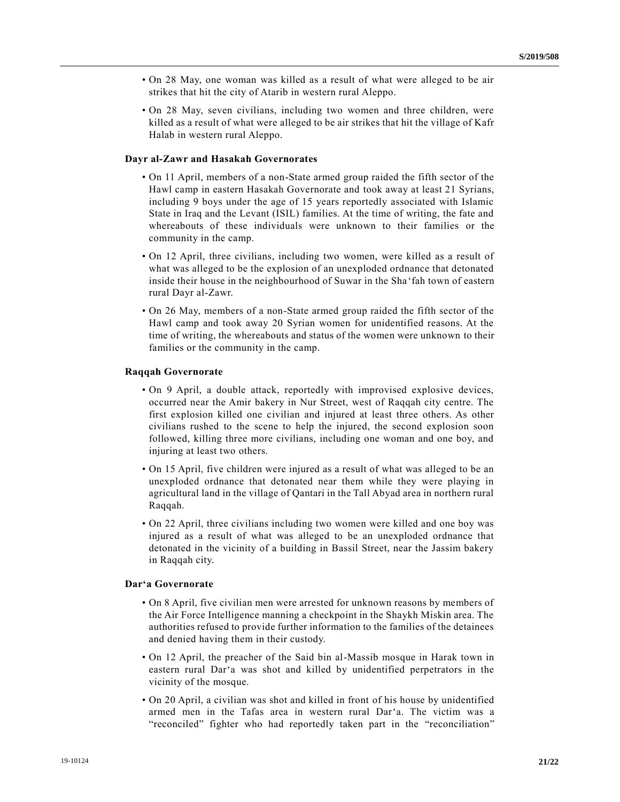- On 28 May, one woman was killed as a result of what were alleged to be air strikes that hit the city of Atarib in western rural Aleppo.
- On 28 May, seven civilians, including two women and three children, were killed as a result of what were alleged to be air strikes that hit the village of Kafr Halab in western rural Aleppo.

### **Dayr al-Zawr and Hasakah Governorates**

- On 11 April, members of a non-State armed group raided the fifth sector of the Hawl camp in eastern Hasakah Governorate and took away at least 21 Syrians, including 9 boys under the age of 15 years reportedly associated with Islamic State in Iraq and the Levant (ISIL) families. At the time of writing, the fate and whereabouts of these individuals were unknown to their families or the community in the camp.
- On 12 April, three civilians, including two women, were killed as a result of what was alleged to be the explosion of an unexploded ordnance that detonated inside their house in the neighbourhood of Suwar in the Sha'fah town of eastern rural Dayr al-Zawr.
- On 26 May, members of a non-State armed group raided the fifth sector of the Hawl camp and took away 20 Syrian women for unidentified reasons. At the time of writing, the whereabouts and status of the women were unknown to their families or the community in the camp.

### **Raqqah Governorate**

- On 9 April, a double attack, reportedly with improvised explosive devices, occurred near the Amir bakery in Nur Street, west of Raqqah city centre. The first explosion killed one civilian and injured at least three others. As other civilians rushed to the scene to help the injured, the second explosion soon followed, killing three more civilians, including one woman and one boy, and injuring at least two others.
- On 15 April, five children were injured as a result of what was alleged to be an unexploded ordnance that detonated near them while they were playing in agricultural land in the village of Qantari in the Tall Abyad area in northern rural Raqqah.
- On 22 April, three civilians including two women were killed and one boy was injured as a result of what was alleged to be an unexploded ordnance that detonated in the vicinity of a building in Bassil Street, near the Jassim bakery in Raqqah city.

## **Dar'a Governorate**

- On 8 April, five civilian men were arrested for unknown reasons by members of the Air Force Intelligence manning a checkpoint in the Shaykh Miskin area. The authorities refused to provide further information to the families of the detainees and denied having them in their custody.
- On 12 April, the preacher of the Said bin al-Massib mosque in Harak town in eastern rural Dar'a was shot and killed by unidentified perpetrators in the vicinity of the mosque.
- On 20 April, a civilian was shot and killed in front of his house by unidentified armed men in the Tafas area in western rural Dar'a. The victim was a "reconciled" fighter who had reportedly taken part in the "reconciliation"